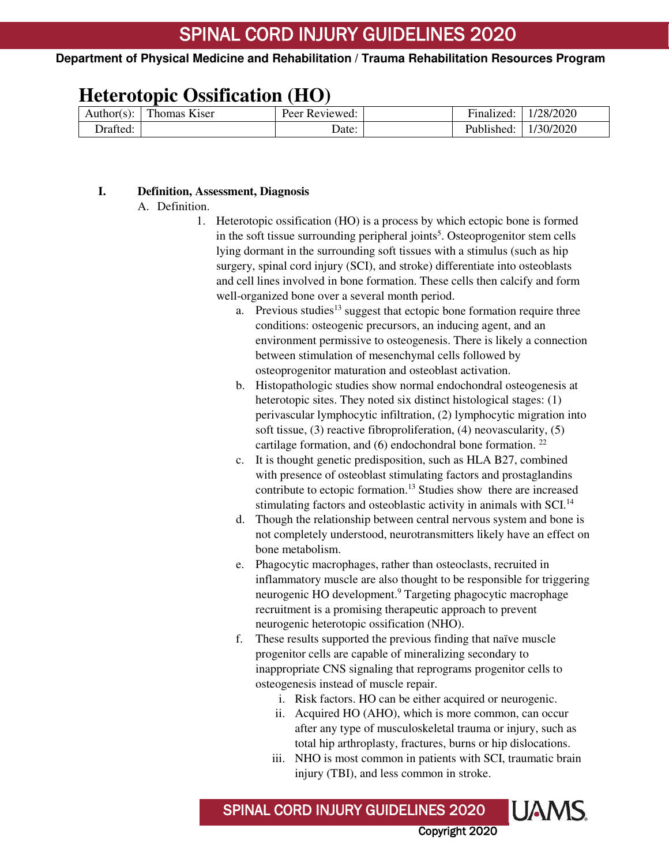# **Heterotopic Ossification (HO)**

| Author(s): | Thomas Kiser | Peer<br>Reviewed: | ÷-<br>Finalized: | 128/2020  |
|------------|--------------|-------------------|------------------|-----------|
| Drafted:   |              | Date:             | Published:       | 1/30/2020 |

## **I. Definition, Assessment, Diagnosis**

A. Definition.

 $\overline{1}$ 

- 1. Heterotopic ossification (HO) is a process by which ectopic bone is formed in the soft tissue surrounding peripheral joints<sup>5</sup>. Osteoprogenitor stem cells lying dormant in the surrounding soft tissues with a stimulus (such as hip surgery, spinal cord injury (SCI), and stroke) differentiate into osteoblasts and cell lines involved in bone formation. These cells then calcify and form well-organized bone over a several month period.
	- a. Previous studies<sup>13</sup> suggest that ectopic bone formation require three conditions: osteogenic precursors, an inducing agent, and an environment permissive to osteogenesis. There is likely a connection between stimulation of mesenchymal cells followed by osteoprogenitor maturation and osteoblast activation.
	- b. Histopathologic studies show normal endochondral osteogenesis at heterotopic sites. They noted six distinct histological stages: (1) perivascular lymphocytic infiltration, (2) lymphocytic migration into soft tissue, (3) reactive fibroproliferation, (4) neovascularity, (5) cartilage formation, and  $(6)$  endochondral bone formation. <sup>22</sup>
	- c. It is thought genetic predisposition, such as HLA B27, combined with presence of osteoblast stimulating factors and prostaglandins contribute to ectopic formation.<sup>13</sup> Studies show there are increased stimulating factors and osteoblastic activity in animals with SCI.<sup>14</sup>
	- d. Though the relationship between central nervous system and bone is not completely understood, neurotransmitters likely have an effect on bone metabolism.
	- e. Phagocytic macrophages, rather than osteoclasts, recruited in inflammatory muscle are also thought to be responsible for triggering neurogenic HO development.<sup>9</sup> Targeting phagocytic macrophage recruitment is a promising therapeutic approach to prevent neurogenic heterotopic ossification (NHO).
	- f. These results supported the previous finding that naïve muscle progenitor cells are capable of mineralizing secondary to inappropriate CNS signaling that reprograms progenitor cells to osteogenesis instead of muscle repair.
		- i. Risk factors. HO can be either acquired or neurogenic.
		- ii. Acquired HO (AHO), which is more common, can occur after any type of musculoskeletal trauma or injury, such as total hip arthroplasty, fractures, burns or hip dislocations.
		- iii. NHO is most common in patients with SCI, traumatic brain injury (TBI), and less common in stroke.

Copyright 2020

**UAMS** SPINAL CORD INJURY GUIDELINES 2020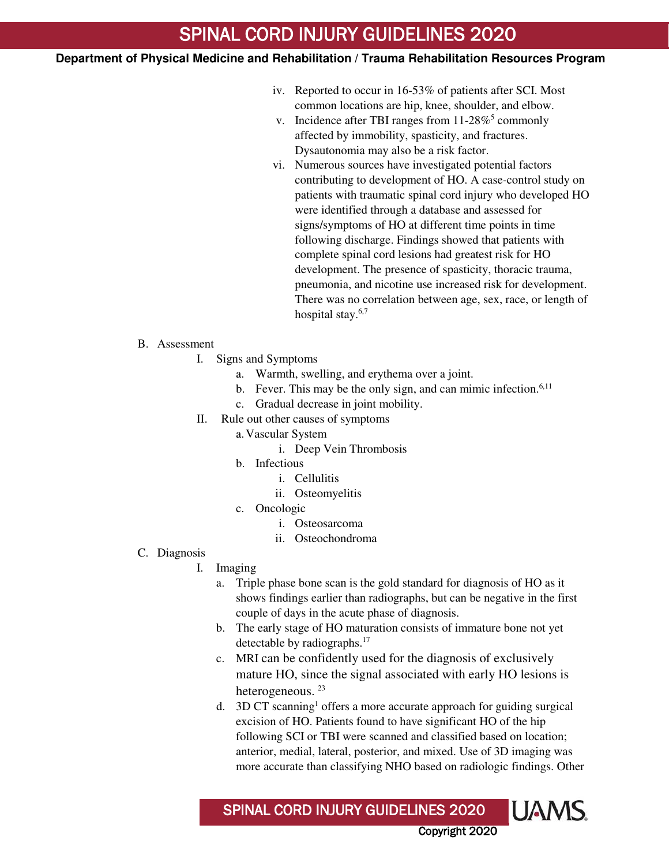# SPINAL CORD INJURY GUIDELINES 2020

## **Department of Physical Medicine and Rehabilitation / Trauma Rehabilitation Resources Program**

- iv. Reported to occur in 16-53% of patients after SCI. Most common locations are hip, knee, shoulder, and elbow.
- v. Incidence after TBI ranges from  $11-28\%$ <sup>5</sup> commonly affected by immobility, spasticity, and fractures. Dysautonomia may also be a risk factor.
- vi. Numerous sources have investigated potential factors contributing to development of HO. A case-control study on patients with traumatic spinal cord injury who developed HO were identified through a database and assessed for signs/symptoms of HO at different time points in time following discharge. Findings showed that patients with complete spinal cord lesions had greatest risk for HO development. The presence of spasticity, thoracic trauma, pneumonia, and nicotine use increased risk for development. There was no correlation between age, sex, race, or length of hospital stay.<sup>6,7</sup>

#### B. Assessment

 $\overline{1}$ 

- I. Signs and Symptoms
	- a. Warmth, swelling, and erythema over a joint.
	- b. Fever. This may be the only sign, and can mimic infection.<sup>6,11</sup>
	- c. Gradual decrease in joint mobility.
- II. Rule out other causes of symptoms
	- a.Vascular System
		- i. Deep Vein Thrombosis
	- b. Infectious
		- i. Cellulitis
		- ii. Osteomyelitis
	- c. Oncologic
		- i. Osteosarcoma
		- ii. Osteochondroma
- C. Diagnosis
	- I. Imaging
		- a. Triple phase bone scan is the gold standard for diagnosis of HO as it shows findings earlier than radiographs, but can be negative in the first couple of days in the acute phase of diagnosis.
		- b. The early stage of HO maturation consists of immature bone not yet detectable by radiographs.<sup>17</sup>
		- c. MRI can be confidently used for the diagnosis of exclusively mature HO, since the signal associated with early HO lesions is heterogeneous.<sup>23</sup>
		- d. 3D CT scanning<sup>1</sup> offers a more accurate approach for guiding surgical excision of HO. Patients found to have significant HO of the hip following SCI or TBI were scanned and classified based on location; anterior, medial, lateral, posterior, and mixed. Use of 3D imaging was more accurate than classifying NHO based on radiologic findings. Other

Copyright 2020

**UAMS** 

SPINAL CORD INJURY GUIDELINES 2020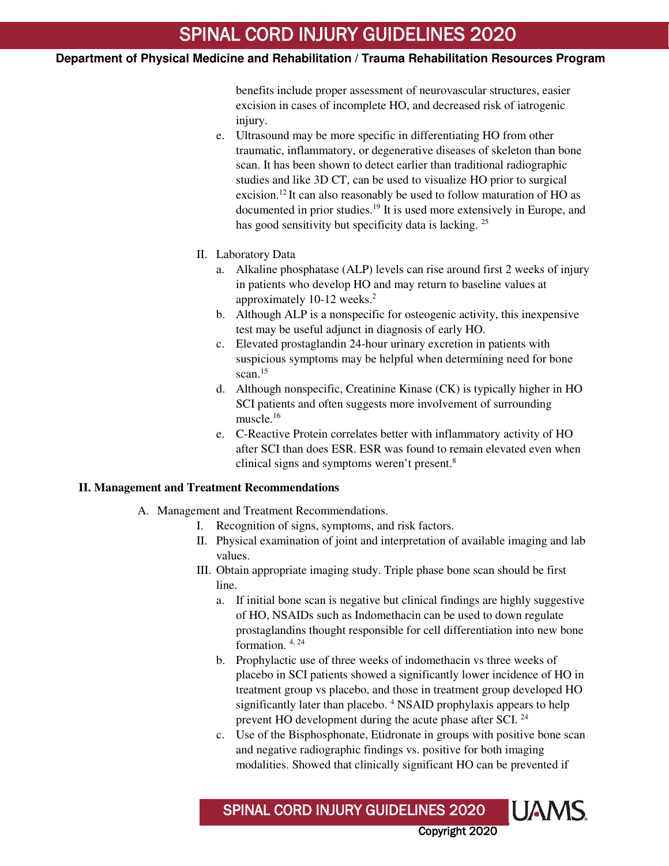benefits include proper assessment of neurovascular structures, easier excision in cases of incomplete HO, and decreased risk of iatrogenic injury.

- e. Ultrasound may be more specific in differentiating HO from other traumatic, inflammatory, or degenerative diseases of skeleton than bone scan. It has been shown to detect earlier than traditional radiographic studies and like 3D CT, can be used to visualize HO prior to surgical excision.<sup>12</sup> It can also reasonably be used to follow maturation of HO as documented in prior studies.<sup>19</sup> It is used more extensively in Europe, and has good sensitivity but specificity data is lacking. <sup>25</sup>
- II. Laboratory Data

 $\overline{1}$ 

- a. Alkaline phosphatase (ALP) levels can rise around first 2 weeks of injury in patients who develop HO and may return to baseline values at approximately 10-12 weeks.<sup>2</sup>
- b. Although ALP is a nonspecific for osteogenic activity, this inexpensive test may be useful adjunct in diagnosis of early HO.
- c. Elevated prostaglandin 24-hour urinary excretion in patients with suspicious symptoms may be helpful when determining need for bone scan.<sup>15</sup>
- d. Although nonspecific, Creatinine Kinase (CK) is typically higher in HO SCI patients and often suggests more involvement of surrounding muscle.<sup>16</sup>
- e. C-Reactive Protein correlates better with inflammatory activity of HO after SCI than does ESR. ESR was found to remain elevated even when clinical signs and symptoms weren't present.<sup>8</sup>

# **II. Management and Treatment Recommendations**

- A. Management and Treatment Recommendations.
	- I. Recognition of signs, symptoms, and risk factors.
	- II. Physical examination of joint and interpretation of available imaging and lab values.
	- III. Obtain appropriate imaging study. Triple phase bone scan should be first line.
		- a. If initial bone scan is negative but clinical findings are highly suggestive of HO, NSAIDs such as Indomethacin can be used to down regulate prostaglandins thought responsible for cell differentiation into new bone formation. 4, 24
		- b. Prophylactic use of three weeks of indomethacin vs three weeks of placebo in SCI patients showed a significantly lower incidence of HO in treatment group vs placebo, and those in treatment group developed HO significantly later than placebo. <sup>4</sup> NSAID prophylaxis appears to help prevent HO development during the acute phase after SCI. <sup>24</sup>
		- c. Use of the Bisphosphonate, Etidronate in groups with positive bone scan and negative radiographic findings vs. positive for both imaging modalities. Showed that clinically significant HO can be prevented if

Copyright 2020

**UAMS** 

SPINAL CORD INJURY GUIDELINES 2020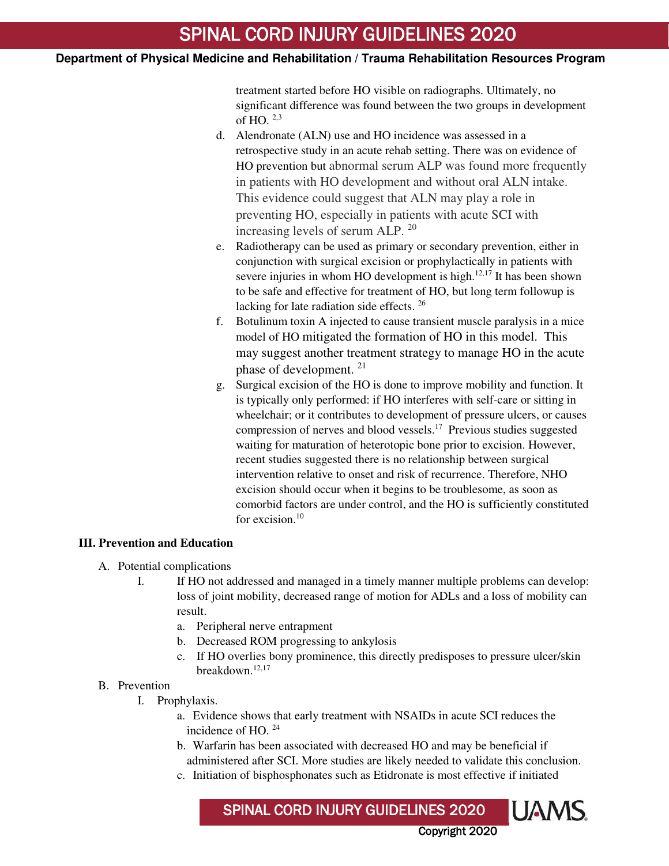treatment started before HO visible on radiographs. Ultimately, no significant difference was found between the two groups in development of HO.  $2,3$ 

- d. Alendronate (ALN) use and HO incidence was assessed in a retrospective study in an acute rehab setting. There was on evidence of HO prevention but abnormal serum ALP was found more frequently in patients with HO development and without oral ALN intake. This evidence could suggest that ALN may play a role in preventing HO, especially in patients with acute SCI with increasing levels of serum ALP. <sup>20</sup>
- e. Radiotherapy can be used as primary or secondary prevention, either in conjunction with surgical excision or prophylactically in patients with severe injuries in whom HO development is high. $12,17$  It has been shown to be safe and effective for treatment of HO, but long term followup is lacking for late radiation side effects. <sup>26</sup>
- f. Botulinum toxin A injected to cause transient muscle paralysis in a mice model of HO mitigated the formation of HO in this model. This may suggest another treatment strategy to manage HO in the acute phase of development. <sup>21</sup>
- g. Surgical excision of the HO is done to improve mobility and function. It is typically only performed: if HO interferes with self-care or sitting in wheelchair; or it contributes to development of pressure ulcers, or causes compression of nerves and blood vessels.<sup>17</sup> Previous studies suggested waiting for maturation of heterotopic bone prior to excision. However, recent studies suggested there is no relationship between surgical intervention relative to onset and risk of recurrence. Therefore, NHO excision should occur when it begins to be troublesome, as soon as comorbid factors are under control, and the HO is sufficiently constituted for excision.<sup>10</sup>

### **III. Prevention and Education**

 $\overline{1}$ 

- A. Potential complications
	- I. If HO not addressed and managed in a timely manner multiple problems can develop: loss of joint mobility, decreased range of motion for ADLs and a loss of mobility can result.
		- a. Peripheral nerve entrapment
		- b. Decreased ROM progressing to ankylosis
		- c. If HO overlies bony prominence, this directly predisposes to pressure ulcer/skin breakdown.12,17

# B. Prevention

- I. Prophylaxis.
	- a. Evidence shows that early treatment with NSAIDs in acute SCI reduces the incidence of HO. <sup>24</sup>
	- b. Warfarin has been associated with decreased HO and may be beneficial if administered after SCI. More studies are likely needed to validate this conclusion.
	- c. Initiation of bisphosphonates such as Etidronate is most effective if initiated

SPINAL CORD INJURY GUIDELINES 2020

Copyright 2020

**UAMS**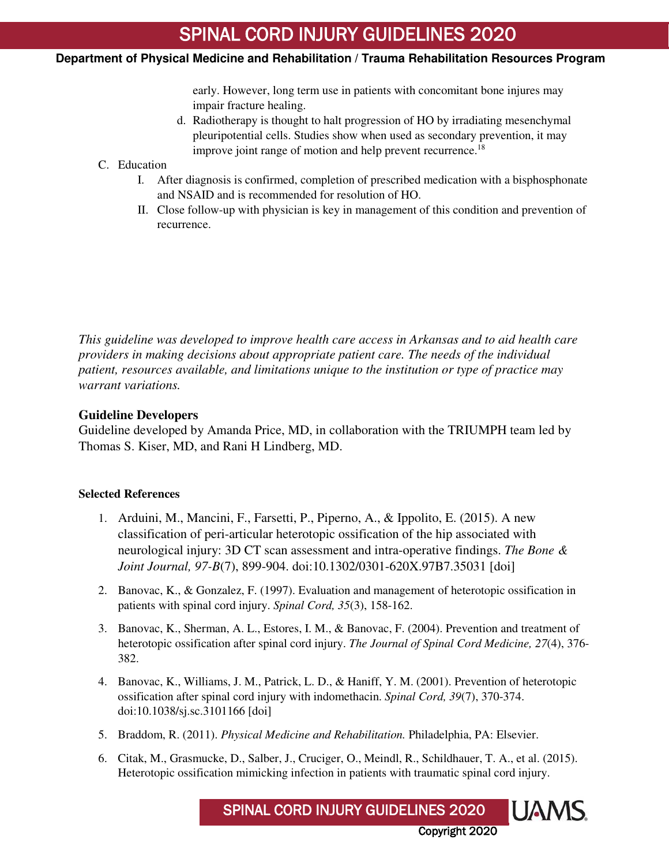early. However, long term use in patients with concomitant bone injures may impair fracture healing.

d. Radiotherapy is thought to halt progression of HO by irradiating mesenchymal pleuripotential cells. Studies show when used as secondary prevention, it may improve joint range of motion and help prevent recurrence.<sup>18</sup>

# C. Education

 $\overline{1}$ 

- I. After diagnosis is confirmed, completion of prescribed medication with a bisphosphonate and NSAID and is recommended for resolution of HO.
- II. Close follow-up with physician is key in management of this condition and prevention of recurrence.

*This guideline was developed to improve health care access in Arkansas and to aid health care providers in making decisions about appropriate patient care. The needs of the individual patient, resources available, and limitations unique to the institution or type of practice may warrant variations.* 

# **Guideline Developers**

Guideline developed by Amanda Price, MD, in collaboration with the TRIUMPH team led by Thomas S. Kiser, MD, and Rani H Lindberg, MD.

# **Selected References**

- 1. Arduini, M., Mancini, F., Farsetti, P., Piperno, A., & Ippolito, E. (2015). A new classification of peri-articular heterotopic ossification of the hip associated with neurological injury: 3D CT scan assessment and intra-operative findings. *The Bone & Joint Journal, 97-B*(7), 899-904. doi:10.1302/0301-620X.97B7.35031 [doi]
- 2. Banovac, K., & Gonzalez, F. (1997). Evaluation and management of heterotopic ossification in patients with spinal cord injury. *Spinal Cord, 35*(3), 158-162.
- 3. Banovac, K., Sherman, A. L., Estores, I. M., & Banovac, F. (2004). Prevention and treatment of heterotopic ossification after spinal cord injury. *The Journal of Spinal Cord Medicine, 27*(4), 376- 382.
- 4. Banovac, K., Williams, J. M., Patrick, L. D., & Haniff, Y. M. (2001). Prevention of heterotopic ossification after spinal cord injury with indomethacin. *Spinal Cord, 39*(7), 370-374. doi:10.1038/sj.sc.3101166 [doi]
- 5. Braddom, R. (2011). *Physical Medicine and Rehabilitation.* Philadelphia, PA: Elsevier.
- 6. Citak, M., Grasmucke, D., Salber, J., Cruciger, O., Meindl, R., Schildhauer, T. A., et al. (2015). Heterotopic ossification mimicking infection in patients with traumatic spinal cord injury.

**UAMS** SPINAL CORD INJURY GUIDELINES 2020 Copyright 2020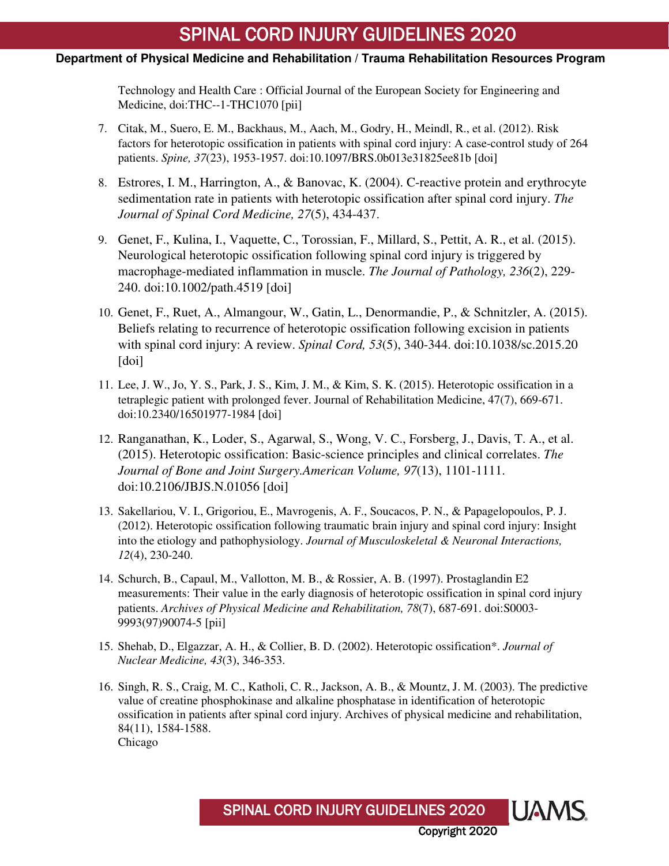# SPINAL CORD INJURY GUIDELINES 2020

# **Department of Physical Medicine and Rehabilitation / Trauma Rehabilitation Resources Program**

 $\overline{1}$ 

Technology and Health Care : Official Journal of the European Society for Engineering and Medicine, doi:THC--1-THC1070 [pii]

- 7. Citak, M., Suero, E. M., Backhaus, M., Aach, M., Godry, H., Meindl, R., et al. (2012). Risk factors for heterotopic ossification in patients with spinal cord injury: A case-control study of 264 patients. *Spine, 37*(23), 1953-1957. doi:10.1097/BRS.0b013e31825ee81b [doi]
- 8. Estrores, I. M., Harrington, A., & Banovac, K. (2004). C-reactive protein and erythrocyte sedimentation rate in patients with heterotopic ossification after spinal cord injury. *The Journal of Spinal Cord Medicine, 27*(5), 434-437.
- 9. Genet, F., Kulina, I., Vaquette, C., Torossian, F., Millard, S., Pettit, A. R., et al. (2015). Neurological heterotopic ossification following spinal cord injury is triggered by macrophage-mediated inflammation in muscle. *The Journal of Pathology, 236*(2), 229- 240. doi:10.1002/path.4519 [doi]
- 10. Genet, F., Ruet, A., Almangour, W., Gatin, L., Denormandie, P., & Schnitzler, A. (2015). Beliefs relating to recurrence of heterotopic ossification following excision in patients with spinal cord injury: A review. *Spinal Cord, 53*(5), 340-344. doi:10.1038/sc.2015.20 [doi]
- 11. Lee, J. W., Jo, Y. S., Park, J. S., Kim, J. M., & Kim, S. K. (2015). Heterotopic ossification in a tetraplegic patient with prolonged fever. Journal of Rehabilitation Medicine, 47(7), 669-671. doi:10.2340/16501977-1984 [doi]
- 12. Ranganathan, K., Loder, S., Agarwal, S., Wong, V. C., Forsberg, J., Davis, T. A., et al. (2015). Heterotopic ossification: Basic-science principles and clinical correlates. *The Journal of Bone and Joint Surgery.American Volume, 97*(13), 1101-1111. doi:10.2106/JBJS.N.01056 [doi]
- 13. Sakellariou, V. I., Grigoriou, E., Mavrogenis, A. F., Soucacos, P. N., & Papagelopoulos, P. J. (2012). Heterotopic ossification following traumatic brain injury and spinal cord injury: Insight into the etiology and pathophysiology. *Journal of Musculoskeletal & Neuronal Interactions, 12*(4), 230-240.
- 14. Schurch, B., Capaul, M., Vallotton, M. B., & Rossier, A. B. (1997). Prostaglandin E2 measurements: Their value in the early diagnosis of heterotopic ossification in spinal cord injury patients. *Archives of Physical Medicine and Rehabilitation, 78*(7), 687-691. doi:S0003- 9993(97)90074-5 [pii]
- 15. Shehab, D., Elgazzar, A. H., & Collier, B. D. (2002). Heterotopic ossification\*. *Journal of Nuclear Medicine, 43*(3), 346-353.
- 16. Singh, R. S., Craig, M. C., Katholi, C. R., Jackson, A. B., & Mountz, J. M. (2003). The predictive value of creatine phosphokinase and alkaline phosphatase in identification of heterotopic ossification in patients after spinal cord injury. Archives of physical medicine and rehabilitation, 84(11), 1584-1588. Chicago